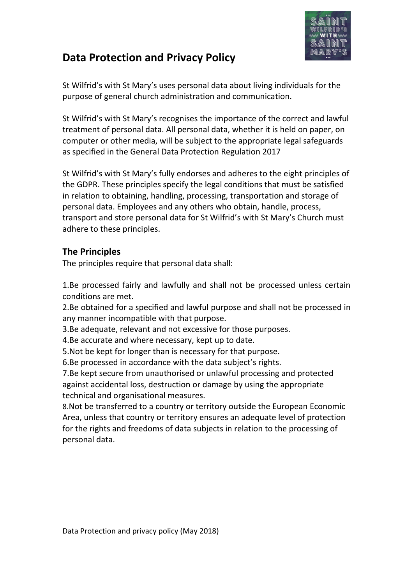

# **Data Protection and Privacy Policy**

St Wilfrid's with St Mary's uses personal data about living individuals for the purpose of general church administration and communication.

St Wilfrid's with St Mary's recognises the importance of the correct and lawful treatment of personal data. All personal data, whether it is held on paper, on computer or other media, will be subject to the appropriate legal safeguards as specified in the General Data Protection Regulation 2017

St Wilfrid's with St Mary's fully endorses and adheres to the eight principles of the GDPR. These principles specify the legal conditions that must be satisfied in relation to obtaining, handling, processing, transportation and storage of personal data. Employees and any others who obtain, handle, process, transport and store personal data for St Wilfrid's with St Mary's Church must adhere to these principles.

## **The Principles**

The principles require that personal data shall:

1.Be processed fairly and lawfully and shall not be processed unless certain conditions are met.

2.Be obtained for a specified and lawful purpose and shall not be processed in any manner incompatible with that purpose.

3.Be adequate, relevant and not excessive for those purposes.

4.Be accurate and where necessary, kept up to date.

5.Not be kept for longer than is necessary for that purpose.

6.Be processed in accordance with the data subject's rights.

7.Be kept secure from unauthorised or unlawful processing and protected against accidental loss, destruction or damage by using the appropriate technical and organisational measures.

8.Not be transferred to a country or territory outside the European Economic Area, unless that country or territory ensures an adequate level of protection for the rights and freedoms of data subjects in relation to the processing of personal data.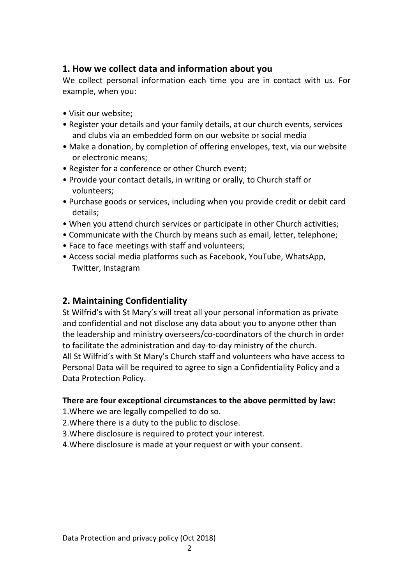## **1. How we collect data and information about you**

We collect personal information each time you are in contact with us. For example, when you:

- Visit our website;
- Register your details and your family details, at our church events, services and clubs via an embedded form on our website or social media
- Make a donation, by completion of offering envelopes, text, via our website or electronic means;
- Register for a conference or other Church event;
- Provide your contact details, in writing or orally, to Church staff or volunteers;
- Purchase goods or services, including when you provide credit or debit card details;
- When you attend church services or participate in other Church activities;
- Communicate with the Church by means such as email, letter, telephone;
- Face to face meetings with staff and volunteers;
- Access social media platforms such as Facebook, YouTube, WhatsApp, Twitter, Instagram

## **2. Maintaining Confidentiality**

St Wilfrid's with St Mary's will treat all your personal information as private and confidential and not disclose any data about you to anyone other than the leadership and ministry overseers/co-coordinators of the church in order to facilitate the administration and day-to-day ministry of the church. All St Wilfrid's with St Mary's Church staff and volunteers who have access to Personal Data will be required to agree to sign a Confidentiality Policy and a Data Protection Policy.

#### **There are four exceptional circumstances to the above permitted by law:**

- 1.Where we are legally compelled to do so.
- 2.Where there is a duty to the public to disclose.
- 3.Where disclosure is required to protect your interest.
- 4.Where disclosure is made at your request or with your consent.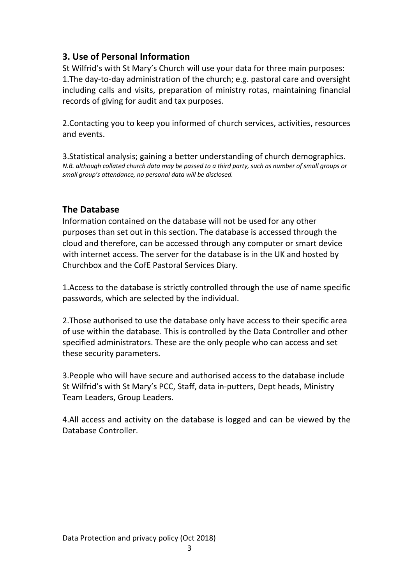## **3. Use of Personal Information**

St Wilfrid's with St Mary's Church will use your data for three main purposes: 1.The day-to-day administration of the church; e.g. pastoral care and oversight including calls and visits, preparation of ministry rotas, maintaining financial records of giving for audit and tax purposes.

2.Contacting you to keep you informed of church services, activities, resources and events.

3.Statistical analysis; gaining a better understanding of church demographics. *N.B. although collated church data may be passed to a third party, such as number of small groups or small group's attendance, no personal data will be disclosed.*

## **The Database**

Information contained on the database will not be used for any other purposes than set out in this section. The database is accessed through the cloud and therefore, can be accessed through any computer or smart device with internet access. The server for the database is in the UK and hosted by Churchbox and the CofE Pastoral Services Diary.

1.Access to the database is strictly controlled through the use of name specific passwords, which are selected by the individual.

2.Those authorised to use the database only have access to their specific area of use within the database. This is controlled by the Data Controller and other specified administrators. These are the only people who can access and set these security parameters.

3.People who will have secure and authorised access to the database include St Wilfrid's with St Mary's PCC, Staff, data in-putters, Dept heads, Ministry Team Leaders, Group Leaders.

4.All access and activity on the database is logged and can be viewed by the Database Controller.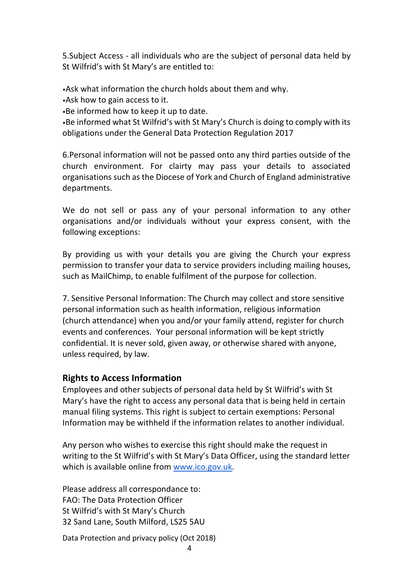5.Subject Access - all individuals who are the subject of personal data held by St Wilfrid's with St Mary's are entitled to:

•Ask what information the church holds about them and why.

•Ask how to gain access to it.

•Be informed how to keep it up to date.

•Be informed what St Wilfrid's with St Mary's Church is doing to comply with its obligations under the General Data Protection Regulation 2017

6.Personal information will not be passed onto any third parties outside of the church environment. For clairty may pass your details to associated organisations such as the Diocese of York and Church of England administrative departments.

We do not sell or pass any of your personal information to any other organisations and/or individuals without your express consent, with the following exceptions:

By providing us with your details you are giving the Church your express permission to transfer your data to service providers including mailing houses, such as MailChimp, to enable fulfilment of the purpose for collection.

7. Sensitive Personal Information: The Church may collect and store sensitive personal information such as health information, religious information (church attendance) when you and/or your family attend, register for church events and conferences. Your personal information will be kept strictly confidential. It is never sold, given away, or otherwise shared with anyone, unless required, by law.

## **Rights to Access Information**

Employees and other subjects of personal data held by St Wilfrid's with St Mary's have the right to access any personal data that is being held in certain manual filing systems. This right is subject to certain exemptions: Personal Information may be withheld if the information relates to another individual.

Any person who wishes to exercise this right should make the request in writing to the St Wilfrid's with St Mary's Data Officer, using the standard letter which is available online from www.ico.gov.uk.

Please address all correspondance to: FAO: The Data Protection Officer St Wilfrid's with St Mary's Church 32 Sand Lane, South Milford, LS25 5AU

Data Protection and privacy policy (Oct 2018)